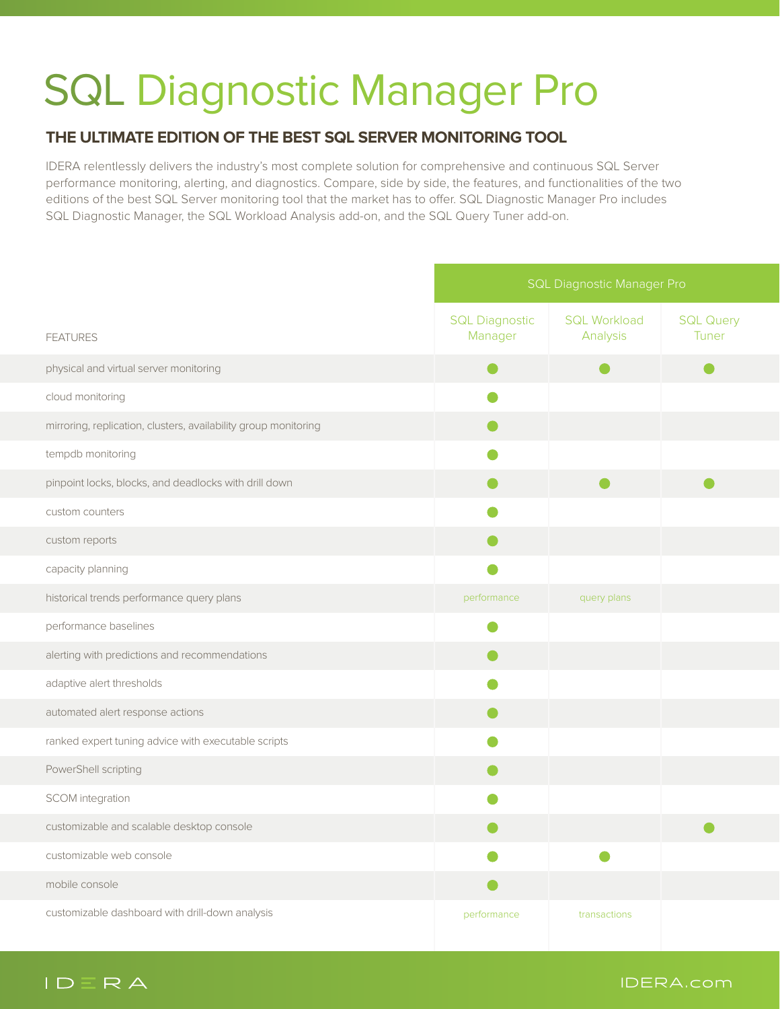## **SQL Diagnostic Manager Pro**

## **THE ULTIMATE EDITION OF THE BEST SQL SERVER MONITORING TOOL**

IDERA relentlessly delivers the industry's most complete solution for comprehensive and continuous SQL Server performance monitoring, alerting, and diagnostics. Compare, side by side, the features, and functionalities of the two editions of the best SQL Server monitoring tool that the market has to offer. SQL Diagnostic Manager Pro includes SQL Diagnostic Manager, the SQL Workload Analysis add-on, and the SQL Query Tuner add-on.

|                                                                 | <b>SQL Diagnostic Manager Pro</b> |                                 |                           |
|-----------------------------------------------------------------|-----------------------------------|---------------------------------|---------------------------|
| <b>FEATURES</b>                                                 | <b>SQL Diagnostic</b><br>Manager  | <b>SQL Workload</b><br>Analysis | <b>SQL Query</b><br>Tuner |
| physical and virtual server monitoring                          |                                   |                                 |                           |
| cloud monitoring                                                |                                   |                                 |                           |
| mirroring, replication, clusters, availability group monitoring |                                   |                                 |                           |
| tempdb monitoring                                               |                                   |                                 |                           |
| pinpoint locks, blocks, and deadlocks with drill down           |                                   |                                 |                           |
| custom counters                                                 |                                   |                                 |                           |
| custom reports                                                  |                                   |                                 |                           |
| capacity planning                                               |                                   |                                 |                           |
| historical trends performance query plans                       | performance                       | query plans                     |                           |
| performance baselines                                           |                                   |                                 |                           |
| alerting with predictions and recommendations                   |                                   |                                 |                           |
| adaptive alert thresholds                                       |                                   |                                 |                           |
| automated alert response actions                                |                                   |                                 |                           |
| ranked expert tuning advice with executable scripts             |                                   |                                 |                           |
| PowerShell scripting                                            |                                   |                                 |                           |
| <b>SCOM</b> integration                                         |                                   |                                 |                           |
| customizable and scalable desktop console                       |                                   |                                 |                           |
| customizable web console                                        |                                   |                                 |                           |
| mobile console                                                  |                                   |                                 |                           |
| customizable dashboard with drill-down analysis                 | performance                       | transactions                    |                           |